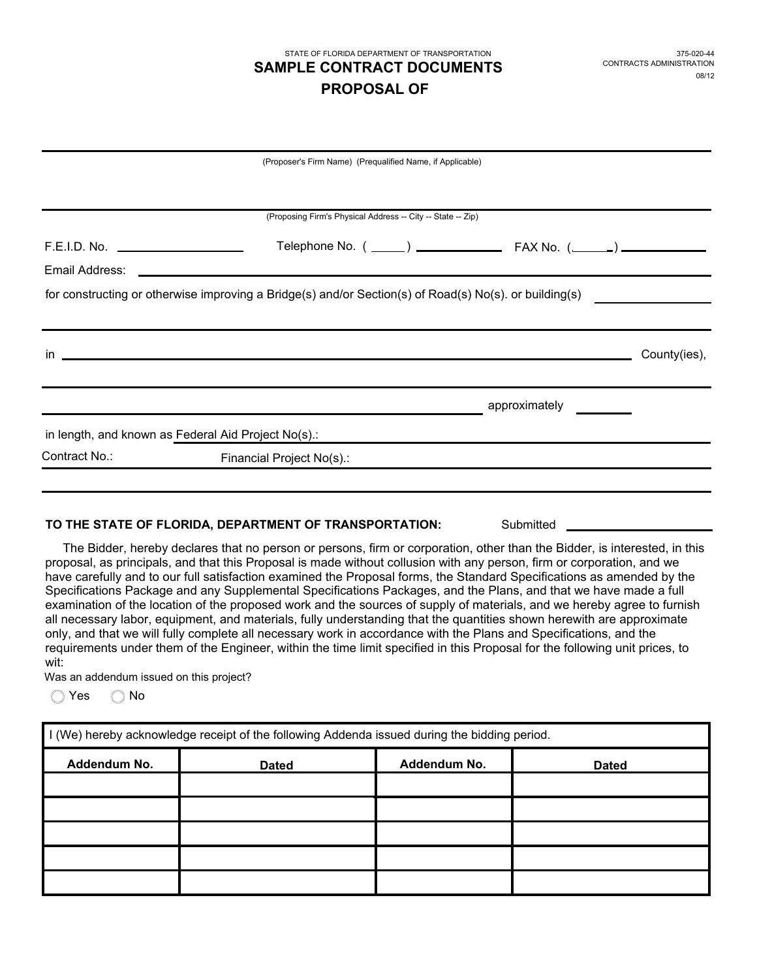# STATE OF FLORIDA DEPARTMENT OF TRANSPORTATION **PROPOSAL OF SAMPLE CONTRACT DOCUMENTS** CONTRACTS ADMINISTRATION

|                                                                                                                                                                                                                                    | (Proposer's Firm Name) (Prequalified Name, if Applicable)                                              |               |              |
|------------------------------------------------------------------------------------------------------------------------------------------------------------------------------------------------------------------------------------|--------------------------------------------------------------------------------------------------------|---------------|--------------|
|                                                                                                                                                                                                                                    |                                                                                                        |               |              |
|                                                                                                                                                                                                                                    | (Proposing Firm's Physical Address -- City -- State -- Zip)                                            |               |              |
| F.E.I.D. No.                                                                                                                                                                                                                       |                                                                                                        |               |              |
|                                                                                                                                                                                                                                    |                                                                                                        |               |              |
|                                                                                                                                                                                                                                    | for constructing or otherwise improving a Bridge(s) and/or Section(s) of Road(s) No(s). or building(s) |               |              |
|                                                                                                                                                                                                                                    |                                                                                                        |               |              |
| $\mathsf{in}$ . The contract of the contract of the contract of the contract of the contract of the contract of the contract of the contract of the contract of the contract of the contract of the contract of the contract of th |                                                                                                        |               | County(ies), |
|                                                                                                                                                                                                                                    |                                                                                                        |               |              |
|                                                                                                                                                                                                                                    |                                                                                                        | approximately |              |
| in length, and known as Federal Aid Project No(s).:                                                                                                                                                                                |                                                                                                        |               |              |
| Contract No.:                                                                                                                                                                                                                      | Financial Project No(s).:                                                                              |               |              |
|                                                                                                                                                                                                                                    |                                                                                                        |               |              |
|                                                                                                                                                                                                                                    |                                                                                                        |               |              |

### **TO THE STATE OF FLORIDA, DEPARTMENT OF TRANSPORTATION:** Submitted

The Bidder, hereby declares that no person or persons, firm or corporation, other than the Bidder, is interested, in this proposal, as principals, and that this Proposal is made without collusion with any person, firm or corporation, and we have carefully and to our full satisfaction examined the Proposal forms, the Standard Specifications as amended by the Specifications Package and any Supplemental Specifications Packages, and the Plans, and that we have made a full examination of the location of the proposed work and the sources of supply of materials, and we hereby agree to furnish all necessary labor, equipment, and materials, fully understanding that the quantities shown herewith are approximate only, and that we will fully complete all necessary work in accordance with the Plans and Specifications, and the requirements under them of the Engineer, within the time limit specified in this Proposal for the following unit prices, to wit:

Was an addendum issued on this project?

O Yes O No

| I (We) hereby acknowledge receipt of the following Addenda issued during the bidding period. |              |              |              |  |
|----------------------------------------------------------------------------------------------|--------------|--------------|--------------|--|
| Addendum No.                                                                                 | <b>Dated</b> | Addendum No. | <b>Dated</b> |  |
|                                                                                              |              |              |              |  |
|                                                                                              |              |              |              |  |
|                                                                                              |              |              |              |  |
|                                                                                              |              |              |              |  |
|                                                                                              |              |              |              |  |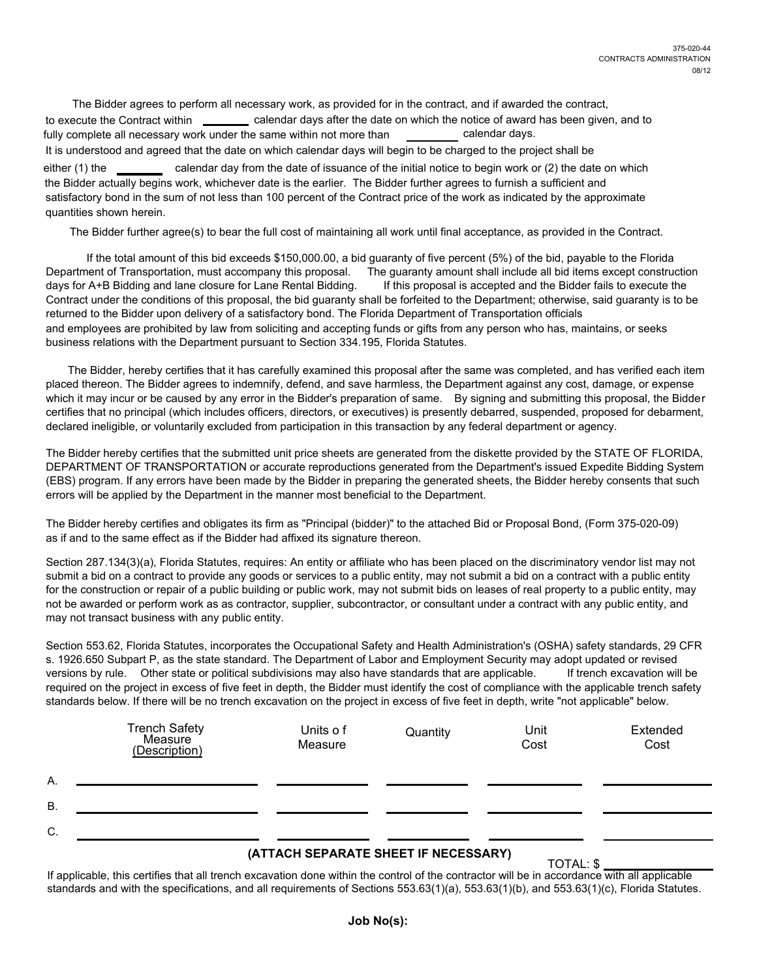either (1) the The Bidder agrees to perform all necessary work, as provided for in the contract, and if awarded the contract, to execute the Contract within calendar days after the date on which the notice of award has been given, and to fully complete all necessary work under the same within not more than calendar days. It is understood and agreed that the date on which calendar days will begin to be charged to the project shall be calendar day from the date of issuance of the initial notice to begin work or (2) the date on which the Bidder actually begins work, whichever date is the earlier. The Bidder further agrees to furnish a sufficient and satisfactory bond in the sum of not less than 100 percent of the Contract price of the work as indicated by the approximate quantities shown herein.

The Bidder further agree(s) to bear the full cost of maintaining all work until final acceptance, as provided in the Contract.

If the total amount of this bid exceeds \$150,000.00, a bid guaranty of five percent (5%) of the bid, payable to the Florida Department of Transportation, must accompany this proposal. The guaranty amount shall include all bid items except construction<br>days for A+B Bidding and lane closure for Lane Rental Bidding. If this proposal is accepted an days for A+B Bidding and lane closure for Lane Rental Bidding. Contract under the conditions of this proposal, the bid guaranty shall be forfeited to the Department; otherwise, said guaranty is to be returned to the Bidder upon delivery of a satisfactory bond. The Florida Department of Transportation officials and employees are prohibited by law from soliciting and accepting funds or gifts from any person who has, maintains, or seeks business relations with the Department pursuant to Section 334.195, Florida Statutes.

The Bidder, hereby certifies that it has carefully examined this proposal after the same was completed, and has verified each item placed thereon. The Bidder agrees to indemnify, defend, and save harmless, the Department against any cost, damage, or expense which it may incur or be caused by any error in the Bidder's preparation of same. By signing and submitting this proposal, the Bidder certifies that no principal (which includes officers, directors, or executives) is presently debarred, suspended, proposed for debarment, declared ineligible, or voluntarily excluded from participation in this transaction by any federal department or agency.

The Bidder hereby certifies that the submitted unit price sheets are generated from the diskette provided by the STATE OF FLORIDA, DEPARTMENT OF TRANSPORTATION or accurate reproductions generated from the Department's issued Expedite Bidding System (EBS) program. If any errors have been made by the Bidder in preparing the generated sheets, the Bidder hereby consents that such errors will be applied by the Department in the manner most beneficial to the Department.

The Bidder hereby certifies and obligates its firm as "Principal (bidder)" to the attached Bid or Proposal Bond, (Form 375-020-09) as if and to the same effect as if the Bidder had affixed its signature thereon.

Section 287.134(3)(a), Florida Statutes, requires: An entity or affiliate who has been placed on the discriminatory vendor list may not submit a bid on a contract to provide any goods or services to a public entity, may not submit a bid on a contract with a public entity for the construction or repair of a public building or public work, may not submit bids on leases of real property to a public entity, may not be awarded or perform work as as contractor, supplier, subcontractor, or consultant under a contract with any public entity, and may not transact business with any public entity.

Section 553.62, Florida Statutes, incorporates the Occupational Safety and Health Administration's (OSHA) safety standards, 29 CFR s. 1926.650 Subpart P, as the state standard. The Department of Labor and Employment Security may adopt updated or revised versions by rule. Other state or political subdivisions may also have standards that are applicable. If trench excavation will be required on the project in excess of five feet in depth, the Bidder must identify the cost of compliance with the applicable trench safety standards below. If there will be no trench excavation on the project in excess of five feet in depth, write "not applicable" below.

|           | Trench Safety<br>Measure<br>(Description) | Units of<br>Measure | Quantity | Unit<br>Cost | Extended<br>Cost |
|-----------|-------------------------------------------|---------------------|----------|--------------|------------------|
| А.        |                                           |                     |          |              |                  |
| <b>B.</b> |                                           |                     |          |              |                  |
| C.        |                                           |                     |          |              |                  |

# **(ATTACH SEPARATE SHEET IF NECESSARY)** TOTAL: \$

If applicable, this certifies that all trench excavation done within the control of the contractor will be in accordance with all applicable standards and with the specifications, and all requirements of Sections 553.63(1)(a), 553.63(1)(b), and 553.63(1)(c), Florida Statutes.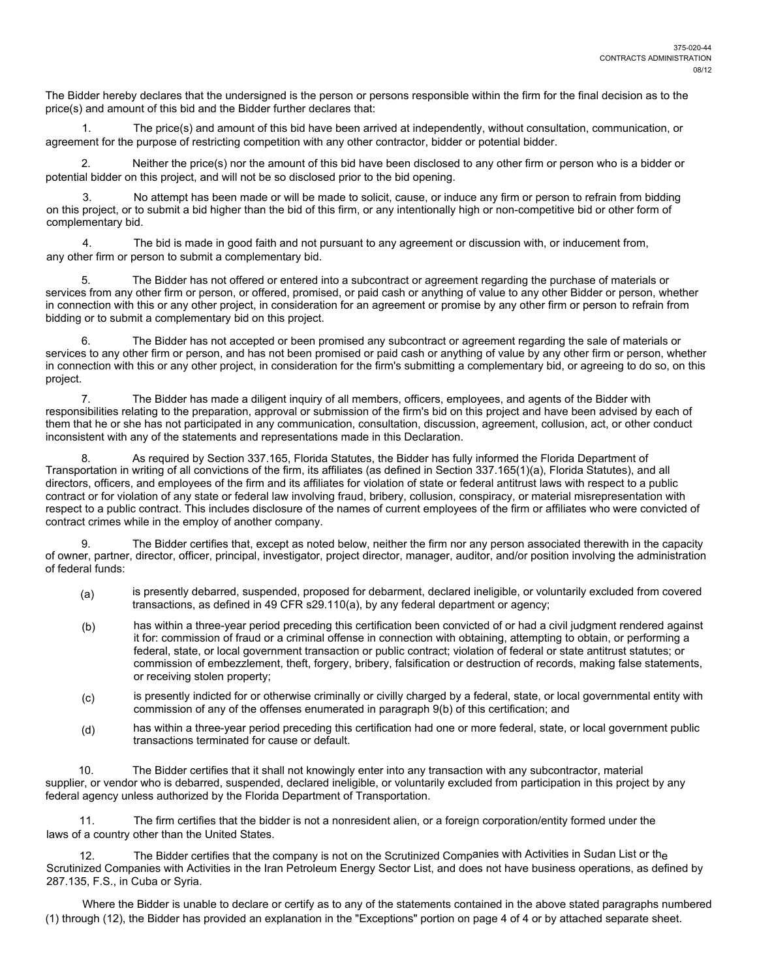The Bidder hereby declares that the undersigned is the person or persons responsible within the firm for the final decision as to the price(s) and amount of this bid and the Bidder further declares that:

1. The price(s) and amount of this bid have been arrived at independently, without consultation, communication, or agreement for the purpose of restricting competition with any other contractor, bidder or potential bidder.

2. Neither the price(s) nor the amount of this bid have been disclosed to any other firm or person who is a bidder or potential bidder on this project, and will not be so disclosed prior to the bid opening.

No attempt has been made or will be made to solicit, cause, or induce any firm or person to refrain from bidding on this project, or to submit a bid higher than the bid of this firm, or any intentionally high or non-competitive bid or other form of complementary bid.

4. The bid is made in good faith and not pursuant to any agreement or discussion with, or inducement from, any other firm or person to submit a complementary bid.

The Bidder has not offered or entered into a subcontract or agreement regarding the purchase of materials or services from any other firm or person, or offered, promised, or paid cash or anything of value to any other Bidder or person, whether in connection with this or any other project, in consideration for an agreement or promise by any other firm or person to refrain from bidding or to submit a complementary bid on this project.

6. The Bidder has not accepted or been promised any subcontract or agreement regarding the sale of materials or services to any other firm or person, and has not been promised or paid cash or anything of value by any other firm or person, whether in connection with this or any other project, in consideration for the firm's submitting a complementary bid, or agreeing to do so, on this project.

7. The Bidder has made a diligent inquiry of all members, officers, employees, and agents of the Bidder with responsibilities relating to the preparation, approval or submission of the firm's bid on this project and have been advised by each of them that he or she has not participated in any communication, consultation, discussion, agreement, collusion, act, or other conduct inconsistent with any of the statements and representations made in this Declaration.

8. As required by Section 337.165, Florida Statutes, the Bidder has fully informed the Florida Department of Transportation in writing of all convictions of the firm, its affiliates (as defined in Section 337.165(1)(a), Florida Statutes), and all directors, officers, and employees of the firm and its affiliates for violation of state or federal antitrust laws with respect to a public contract or for violation of any state or federal law involving fraud, bribery, collusion, conspiracy, or material misrepresentation with respect to a public contract. This includes disclosure of the names of current employees of the firm or affiliates who were convicted of contract crimes while in the employ of another company.

9. The Bidder certifies that, except as noted below, neither the firm nor any person associated therewith in the capacity of owner, partner, director, officer, principal, investigator, project director, manager, auditor, and/or position involving the administration of federal funds:

- (a) is presently debarred, suspended, proposed for debarment, declared ineligible, or voluntarily excluded from covered transactions, as defined in 49 CFR s29.110(a), by any federal department or agency;
- (b) has within a three-year period preceding this certification been convicted of or had a civil judgment rendered against it for: commission of fraud or a criminal offense in connection with obtaining, attempting to obtain, or performing a federal, state, or local government transaction or public contract; violation of federal or state antitrust statutes; or commission of embezzlement, theft, forgery, bribery, falsification or destruction of records, making false statements, or receiving stolen property;
- (c) is presently indicted for or otherwise criminally or civilly charged by a federal, state, or local governmental entity with commission of any of the offenses enumerated in paragraph 9(b) of this certification; and
- (d) has within a three-year period preceding this certification had one or more federal, state, or local government public transactions terminated for cause or default.

10. The Bidder certifies that it shall not knowingly enter into any transaction with any subcontractor, material supplier, or vendor who is debarred, suspended, declared ineligible, or voluntarily excluded from participation in this project by any federal agency unless authorized by the Florida Department of Transportation.

11. The firm certifies that the bidder is not a nonresident alien, or a foreign corporation/entity formed under the laws of a country other than the United States.

12. The Bidder certifies that the company is not on the Scrutinized Companies with Activities in Sudan List or the Scrutinized Companies with Activities in the Iran Petroleum Energy Sector List, and does not have business operations, as defined by 287.135, F.S., in Cuba or Syria.

Where the Bidder is unable to declare or certify as to any of the statements contained in the above stated paragraphs numbered (1) through (12), the Bidder has provided an explanation in the "Exceptions" portion on page 4 of 4 or by attached separate sheet.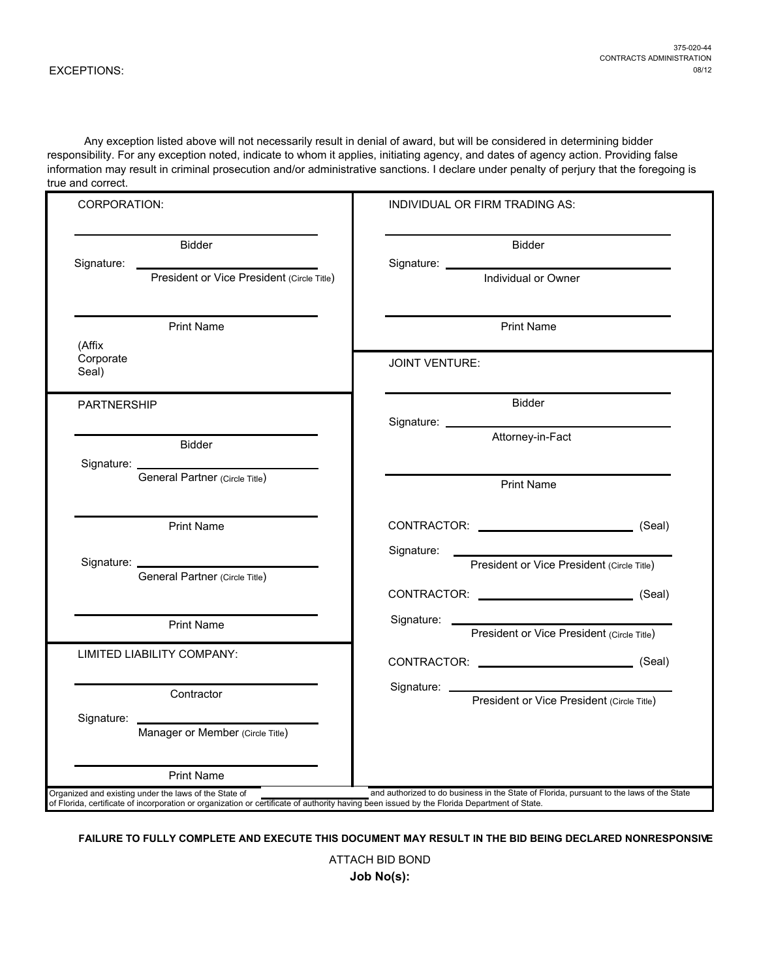Any exception listed above will not necessarily result in denial of award, but will be considered in determining bidder responsibility. For any exception noted, indicate to whom it applies, initiating agency, and dates of agency action. Providing false information may result in criminal prosecution and/or administrative sanctions. I declare under penalty of perjury that the foregoing is true and correct.

| <b>CORPORATION:</b>                                                                                                                                                                                  | INDIVIDUAL OR FIRM TRADING AS:                                                                                                                                                                                                                                                     |
|------------------------------------------------------------------------------------------------------------------------------------------------------------------------------------------------------|------------------------------------------------------------------------------------------------------------------------------------------------------------------------------------------------------------------------------------------------------------------------------------|
| <b>Bidder</b><br>Signature:<br>President or Vice President (Circle Title)                                                                                                                            | Bidder                                                                                                                                                                                                                                                                             |
|                                                                                                                                                                                                      | Individual or Owner                                                                                                                                                                                                                                                                |
| <b>Print Name</b><br>(Affix                                                                                                                                                                          | <b>Print Name</b>                                                                                                                                                                                                                                                                  |
| Corporate<br>Seal)                                                                                                                                                                                   | <b>JOINT VENTURE:</b>                                                                                                                                                                                                                                                              |
| <b>PARTNERSHIP</b>                                                                                                                                                                                   | Bidder                                                                                                                                                                                                                                                                             |
| <b>Bidder</b>                                                                                                                                                                                        | Attorney-in-Fact                                                                                                                                                                                                                                                                   |
| General Partner (Circle Title)                                                                                                                                                                       | <b>Print Name</b>                                                                                                                                                                                                                                                                  |
| <b>Print Name</b>                                                                                                                                                                                    | CONTRACTOR: (Seal)                                                                                                                                                                                                                                                                 |
| Signature: <u>________________</u><br>General Partner (Circle Title)                                                                                                                                 | Signature:<br>President or Vice President (Circle Title)                                                                                                                                                                                                                           |
|                                                                                                                                                                                                      | CONTRACTOR: (Seal)                                                                                                                                                                                                                                                                 |
| <b>Print Name</b>                                                                                                                                                                                    | Signature: <u>contract and the set of the set of the set of the set of the set of the set of the set of the set of the set of the set of the set of the set of the set of the set of the set of the set of the set of the set of</u><br>President or Vice President (Circle Title) |
| LIMITED LIABILITY COMPANY:                                                                                                                                                                           | CONTRACTOR: (Seal)                                                                                                                                                                                                                                                                 |
| Contractor                                                                                                                                                                                           | President or Vice President (Circle Title)                                                                                                                                                                                                                                         |
| Signature:<br>Manager or Member (Circle Title)                                                                                                                                                       |                                                                                                                                                                                                                                                                                    |
| <b>Print Name</b>                                                                                                                                                                                    |                                                                                                                                                                                                                                                                                    |
| Organized and existing under the laws of the State of<br>of Florida, certificate of incorporation or organization or certificate of authority having been issued by the Florida Department of State. | and authorized to do business in the State of Florida, pursuant to the laws of the State                                                                                                                                                                                           |

**FAILURE TO FULLY COMPLETE AND EXECUTE THIS DOCUMENT MAY RESULT IN THE BID BEING DECLARED NONRESPONSIVE**

ATTACH BID BOND **Job No(s):**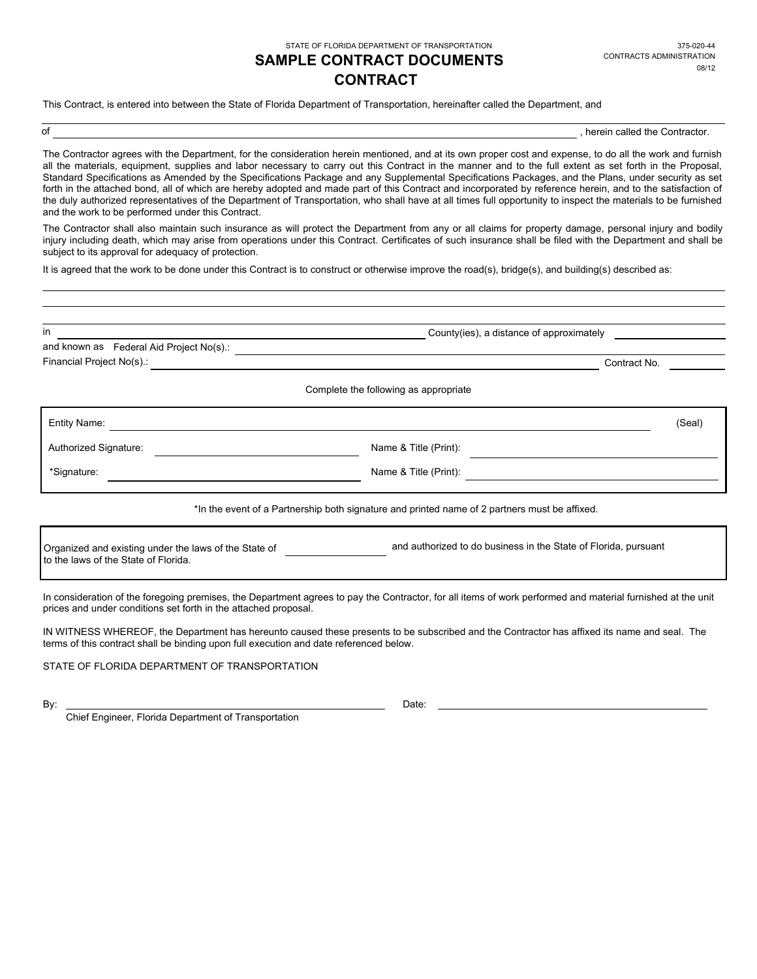STATE OF FLORIDA DEPARTMENT OF TRANSPORTATION

## **CONTRACT SAMPLE CONTRACT DOCUMENTS** CONTRACTS ADMINISTRATION

This Contract, is entered into between the State of Florida Department of Transportation, hereinafter called the Department, and

of the contractor. The contractor of the Contractor of the Contractor.

The Contractor agrees with the Department, for the consideration herein mentioned, and at its own proper cost and expense, to do all the work and furnish all the materials, equipment, supplies and labor necessary to carry out this Contract in the manner and to the full extent as set forth in the Proposal, Standard Specifications as Amended by the Specifications Package and any Supplemental Specifications Packages, and the Plans, under security as set forth in the attached bond, all of which are hereby adopted and made part of this Contract and incorporated by reference herein, and to the satisfaction of the duly authorized representatives of the Department of Transportation, who shall have at all times full opportunity to inspect the materials to be furnished and the work to be performed under this Contract.

The Contractor shall also maintain such insurance as will protect the Department from any or all claims for property damage, personal injury and bodily injury including death, which may arise from operations under this Contract. Certificates of such insurance shall be filed with the Department and shall be subject to its approval for adequacy of protection.

It is agreed that the work to be done under this Contract is to construct or otherwise improve the road(s), bridge(s), and building(s) described as:

| in                                                                                            | County (ies), a distance of approximately<br><u> 1989 - Johann Stoff, deutscher Stoffen und der Stoffen und der Stoffen und der Stoffen und der Stoffen und der</u> |  |  |  |
|-----------------------------------------------------------------------------------------------|---------------------------------------------------------------------------------------------------------------------------------------------------------------------|--|--|--|
|                                                                                               | and known as Federal Aid Project No(s).:<br>and known as Federal Aid Project No(s).:                                                                                |  |  |  |
|                                                                                               | Financial Project No(s).: <b>All any According to the Contract Office</b> Project No(s).:<br>Contract No.                                                           |  |  |  |
|                                                                                               | Complete the following as appropriate                                                                                                                               |  |  |  |
| Entity Name:                                                                                  | (Seal)                                                                                                                                                              |  |  |  |
| Authorized Signature:                                                                         | Name & Title (Print):                                                                                                                                               |  |  |  |
| *Signature:                                                                                   | Name & Title (Print):                                                                                                                                               |  |  |  |
|                                                                                               | *In the event of a Partnership both signature and printed name of 2 partners must be affixed.                                                                       |  |  |  |
| Organized and existing under the laws of the State of<br>to the laws of the State of Florida. | and authorized to do business in the State of Florida, pursuant                                                                                                     |  |  |  |
| prices and under conditions set forth in the attached proposal.                               | In consideration of the foregoing premises, the Department agrees to pay the Contractor, for all items of work performed and material furnished at the unit         |  |  |  |
| terms of this contract shall be binding upon full execution and date referenced below.        | IN WITNESS WHEREOF, the Department has hereunto caused these presents to be subscribed and the Contractor has affixed its name and seal. The                        |  |  |  |

STATE OF FLORIDA DEPARTMENT OF TRANSPORTATION

Chief Engineer, Florida Department of Transportation

By: Date: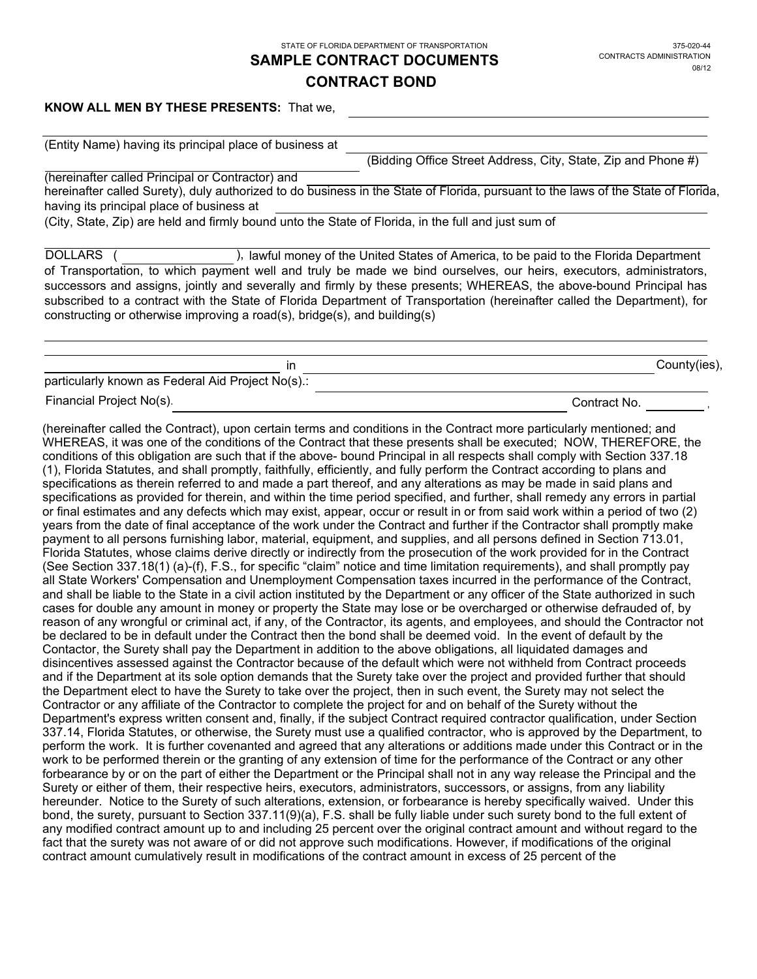STATE OF FLORIDA DEPARTMENT OF TRANSPORTATION

# **SAMPLE CONTRACT DOCUMENTS**

## **CONTRACT BOND**

### **KNOW ALL MEN BY THESE PRESENTS:** That we,

(Entity Name) having its principal place of business at

(Bidding Office Street Address, City, State, Zip and Phone #)

hereinafter called Surety), duly authorized to do business in the State of Florida, pursuant to the laws of the State of Florida, having its principal place of business at (hereinafter called Principal or Contractor) and

(City, State, Zip) are held and firmly bound unto the State of Florida, in the full and just sum of

of Transportation, to which payment well and truly be made we bind ourselves, our heirs, executors, administrators, successors and assigns, jointly and severally and firmly by these presents; WHEREAS, the above-bound Principal has subscribed to a contract with the State of Florida Department of Transportation (hereinafter called the Department), for constructing or otherwise improving a road(s), bridge(s), and building(s) DOLLARS ( ), lawful money of the United States of America, to be paid to the Florida Department

| ır                                                |              | County(ies), |
|---------------------------------------------------|--------------|--------------|
| particularly known as Federal Aid Project No(s).: |              |              |
| Financial Project No(s).                          | Contract No. |              |

(hereinafter called the Contract), upon certain terms and conditions in the Contract more particularly mentioned; and WHEREAS, it was one of the conditions of the Contract that these presents shall be executed; NOW, THEREFORE, the conditions of this obligation are such that if the above- bound Principal in all respects shall comply with Section 337.18 (1), Florida Statutes, and shall promptly, faithfully, efficiently, and fully perform the Contract according to plans and specifications as therein referred to and made a part thereof, and any alterations as may be made in said plans and specifications as provided for therein, and within the time period specified, and further, shall remedy any errors in partial or final estimates and any defects which may exist, appear, occur or result in or from said work within a period of two (2) years from the date of final acceptance of the work under the Contract and further if the Contractor shall promptly make payment to all persons furnishing labor, material, equipment, and supplies, and all persons defined in Section 713.01, Florida Statutes, whose claims derive directly or indirectly from the prosecution of the work provided for in the Contract (See Section 337.18(1) (a)-(f), F.S., for specific "claim" notice and time limitation requirements), and shall promptly pay all State Workers' Compensation and Unemployment Compensation taxes incurred in the performance of the Contract, and shall be liable to the State in a civil action instituted by the Department or any officer of the State authorized in such cases for double any amount in money or property the State may lose or be overcharged or otherwise defrauded of, by reason of any wrongful or criminal act, if any, of the Contractor, its agents, and employees, and should the Contractor not be declared to be in default under the Contract then the bond shall be deemed void. In the event of default by the Contactor, the Surety shall pay the Department in addition to the above obligations, all liquidated damages and disincentives assessed against the Contractor because of the default which were not withheld from Contract proceeds and if the Department at its sole option demands that the Surety take over the project and provided further that should the Department elect to have the Surety to take over the project, then in such event, the Surety may not select the Contractor or any affiliate of the Contractor to complete the project for and on behalf of the Surety without the Department's express written consent and, finally, if the subject Contract required contractor qualification, under Section 337.14, Florida Statutes, or otherwise, the Surety must use a qualified contractor, who is approved by the Department, to perform the work. It is further covenanted and agreed that any alterations or additions made under this Contract or in the work to be performed therein or the granting of any extension of time for the performance of the Contract or any other forbearance by or on the part of either the Department or the Principal shall not in any way release the Principal and the Surety or either of them, their respective heirs, executors, administrators, successors, or assigns, from any liability hereunder. Notice to the Surety of such alterations, extension, or forbearance is hereby specifically waived. Under this bond, the surety, pursuant to Section 337.11(9)(a), F.S. shall be fully liable under such surety bond to the full extent of any modified contract amount up to and including 25 percent over the original contract amount and without regard to the fact that the surety was not aware of or did not approve such modifications. However, if modifications of the original contract amount cumulatively result in modifications of the contract amount in excess of 25 percent of the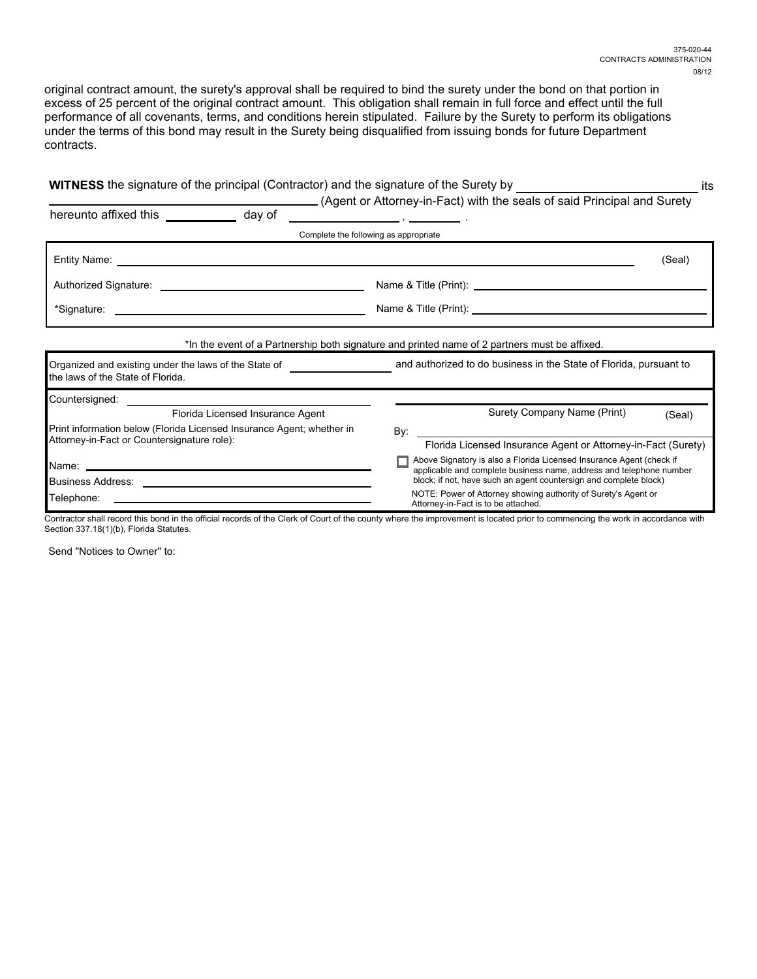original contract amount, the surety's approval shall be required to bind the surety under the bond on that portion in excess of 25 percent of the original contract amount. This obligation shall remain in full force and effect until the full performance of all covenants, terms, and conditions herein stipulated. Failure by the Surety to perform its obligations under the terms of this bond may result in the Surety being disqualified from issuing bonds for future Department contracts.

| (Agent or Attorney-in-Fact) with the seals of said Principal and Surety<br>(Seal)                                                           |  |  |  |
|---------------------------------------------------------------------------------------------------------------------------------------------|--|--|--|
|                                                                                                                                             |  |  |  |
|                                                                                                                                             |  |  |  |
|                                                                                                                                             |  |  |  |
|                                                                                                                                             |  |  |  |
|                                                                                                                                             |  |  |  |
|                                                                                                                                             |  |  |  |
| Organized and existing under the laws of the State of The State of Allen and authorized to do business in the State of Florida, pursuant to |  |  |  |
|                                                                                                                                             |  |  |  |
| (Seal)                                                                                                                                      |  |  |  |
|                                                                                                                                             |  |  |  |
| Florida Licensed Insurance Agent or Attorney-in-Fact (Surety)                                                                               |  |  |  |
| Above Signatory is also a Florida Licensed Insurance Agent (check if                                                                        |  |  |  |
| applicable and complete business name, address and telephone number<br>block; if not, have such an agent countersign and complete block)    |  |  |  |
| NOTE: Power of Attorney showing authority of Surety's Agent or                                                                              |  |  |  |
|                                                                                                                                             |  |  |  |

Section 337.18(1)(b), Florida Statutes.

Send "Notices to Owner" to: